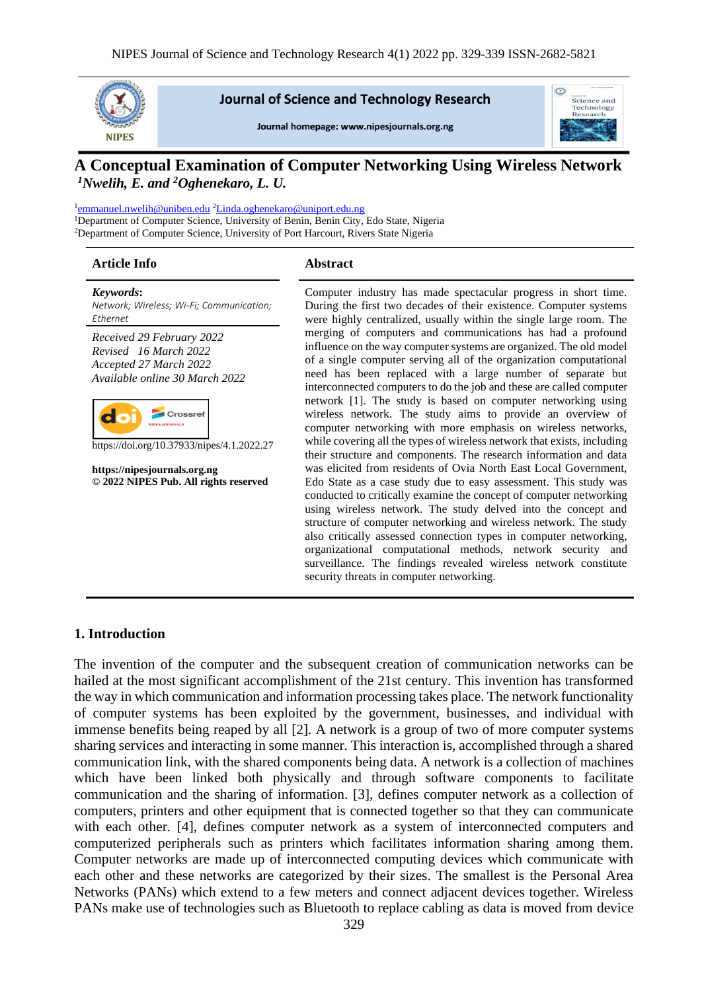

#### **Journal of Science and Technology Research**

Journal homepage: www.nipesjournals.org.ng



# **A Conceptual Examination of Computer Networking Using Wireless Network** *<sup>1</sup>Nwelih, E. and <sup>2</sup>Oghenekaro, L. U.*

<sup>1</sup>[emmanuel.nwelih@uniben.edu](mailto:emmanuel.nwelih@uniben.edu) <sup>2</sup>[Linda.oghenekaro@uniport.edu.ng](mailto:Linda.oghenekaro@uniport.edu.ng) <sup>1</sup>Department of Computer Science, University of Benin, Benin City, Edo State, Nigeria <sup>2</sup>Department of Computer Science, University of Port Harcourt, Rivers State Nigeria

#### **Article Info Abstract**

*Keywords***:** *Network; Wireless; Wi-Fi; Communication; Ethernet Received 29 February 2022 Revised 16 March 2022 Accepted 27 March 2022 Available online 30 March 2022*



https://doi.org/10.37933/nipes/4.1.2022.27

**https://nipesjournals.org.ng © 2022 NIPES Pub. All rights reserved** Computer industry has made spectacular progress in short time. During the first two decades of their existence. Computer systems were highly centralized, usually within the single large room. The merging of computers and communications has had a profound influence on the way computer systems are organized. The old model of a single computer serving all of the organization computational need has been replaced with a large number of separate but interconnected computers to do the job and these are called computer network [1]. The study is based on computer networking using wireless network. The study aims to provide an overview of computer networking with more emphasis on wireless networks, while covering all the types of wireless network that exists, including their structure and components. The research information and data was elicited from residents of Ovia North East Local Government, Edo State as a case study due to easy assessment. This study was conducted to critically examine the concept of computer networking using wireless network. The study delved into the concept and structure of computer networking and wireless network. The study also critically assessed connection types in computer networking, organizational computational methods, network security and surveillance. The findings revealed wireless network constitute security threats in computer networking.

#### **1. Introduction**

The invention of the computer and the subsequent creation of communication networks can be hailed at the most significant accomplishment of the 21st century. This invention has transformed the way in which communication and information processing takes place. The network functionality of computer systems has been exploited by the government, businesses, and individual with immense benefits being reaped by all [2]. A network is a group of two of more computer systems sharing services and interacting in some manner. This interaction is, accomplished through a shared communication link, with the shared components being data. A network is a collection of machines which have been linked both physically and through software components to facilitate communication and the sharing of information. [3], defines computer network as a collection of computers, printers and other equipment that is connected together so that they can communicate with each other. [4], defines computer network as a system of interconnected computers and computerized peripherals such as printers which facilitates information sharing among them. Computer networks are made up of interconnected computing devices which communicate with each other and these networks are categorized by their sizes. The smallest is the Personal Area Networks (PANs) which extend to a few meters and connect adjacent devices together. Wireless PANs make use of technologies such as Bluetooth to replace cabling as data is moved from device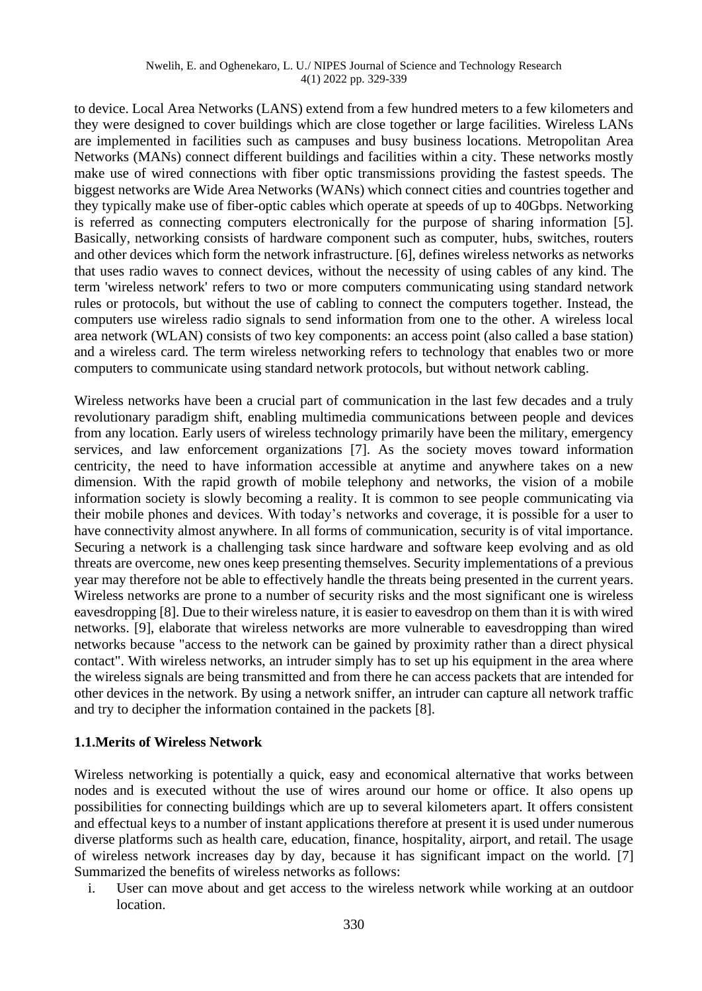#### Nwelih, E. and Oghenekaro, L. U./ NIPES Journal of Science and Technology Research 4(1) 2022 pp. 329-339

to device. Local Area Networks (LANS) extend from a few hundred meters to a few kilometers and they were designed to cover buildings which are close together or large facilities. Wireless LANs are implemented in facilities such as campuses and busy business locations. Metropolitan Area Networks (MANs) connect different buildings and facilities within a city. These networks mostly make use of wired connections with fiber optic transmissions providing the fastest speeds. The biggest networks are Wide Area Networks (WANs) which connect cities and countries together and they typically make use of fiber-optic cables which operate at speeds of up to 40Gbps. Networking is referred as connecting computers electronically for the purpose of sharing information [5]. Basically, networking consists of hardware component such as computer, hubs, switches, routers and other devices which form the network infrastructure. [6], defines wireless networks as networks that uses radio waves to connect devices, without the necessity of using cables of any kind. The term 'wireless network' refers to two or more computers communicating using standard network rules or protocols, but without the use of cabling to connect the computers together. Instead, the computers use wireless radio signals to send information from one to the other. A wireless local area network (WLAN) consists of two key components: an access point (also called a base station) and a wireless card. The term wireless networking refers to technology that enables two or more computers to communicate using standard network protocols, but without network cabling.

Wireless networks have been a crucial part of communication in the last few decades and a truly revolutionary paradigm shift, enabling multimedia communications between people and devices from any location. Early users of wireless technology primarily have been the military, emergency services, and law enforcement organizations [7]. As the society moves toward information centricity, the need to have information accessible at anytime and anywhere takes on a new dimension. With the rapid growth of mobile telephony and networks, the vision of a mobile information society is slowly becoming a reality. It is common to see people communicating via their mobile phones and devices. With today's networks and coverage, it is possible for a user to have connectivity almost anywhere. In all forms of communication, security is of vital importance. Securing a network is a challenging task since hardware and software keep evolving and as old threats are overcome, new ones keep presenting themselves. Security implementations of a previous year may therefore not be able to effectively handle the threats being presented in the current years. Wireless networks are prone to a number of security risks and the most significant one is wireless eavesdropping [8]. Due to their wireless nature, it is easier to eavesdrop on them than it is with wired networks. [9], elaborate that wireless networks are more vulnerable to eavesdropping than wired networks because "access to the network can be gained by proximity rather than a direct physical contact". With wireless networks, an intruder simply has to set up his equipment in the area where the wireless signals are being transmitted and from there he can access packets that are intended for other devices in the network. By using a network sniffer, an intruder can capture all network traffic and try to decipher the information contained in the packets [8].

#### **1.1.Merits of Wireless Network**

Wireless networking is potentially a quick, easy and economical alternative that works between nodes and is executed without the use of wires around our home or office. It also opens up possibilities for connecting buildings which are up to several kilometers apart. It offers consistent and effectual keys to a number of instant applications therefore at present it is used under numerous diverse platforms such as health care, education, finance, hospitality, airport, and retail. The usage of wireless network increases day by day, because it has significant impact on the world. [7] Summarized the benefits of wireless networks as follows:

i. User can move about and get access to the wireless network while working at an outdoor location.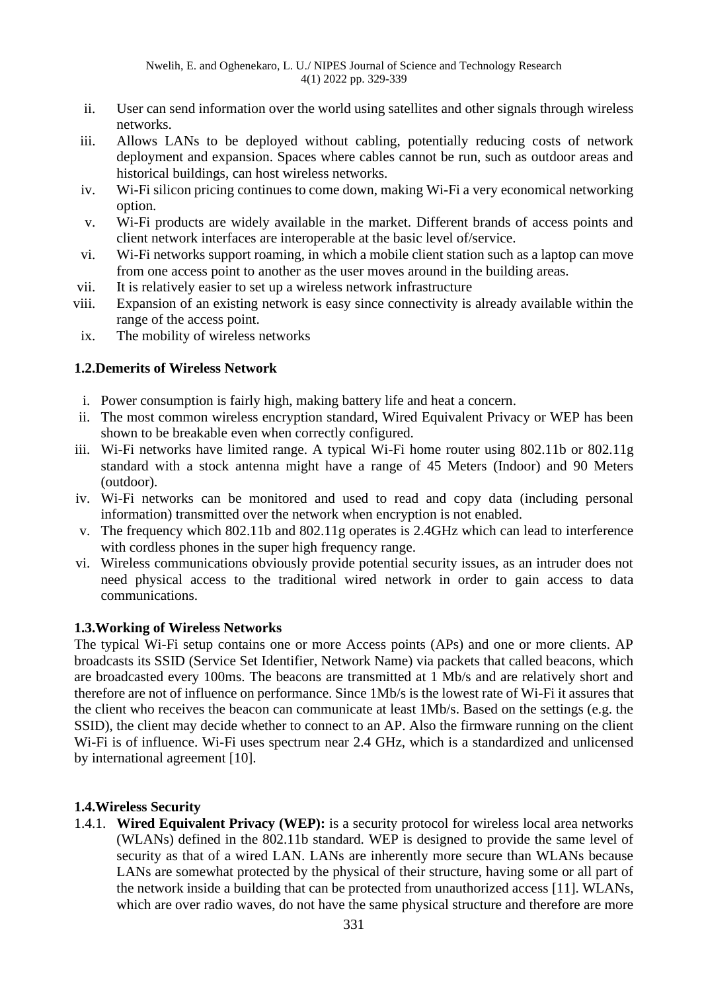- ii. User can send information over the world using satellites and other signals through wireless networks.
- iii. Allows LANs to be deployed without cabling, potentially reducing costs of network deployment and expansion. Spaces where cables cannot be run, such as outdoor areas and historical buildings, can host wireless networks.
- iv. Wi-Fi silicon pricing continues to come down, making Wi-Fi a very economical networking option.
- v. Wi-Fi products are widely available in the market. Different brands of access points and client network interfaces are interoperable at the basic level of/service.
- vi. Wi-Fi networks support roaming, in which a mobile client station such as a laptop can move from one access point to another as the user moves around in the building areas.
- vii. It is relatively easier to set up a wireless network infrastructure
- viii. Expansion of an existing network is easy since connectivity is already available within the range of the access point.
- ix. The mobility of wireless networks

#### **1.2.Demerits of Wireless Network**

- i. Power consumption is fairly high, making battery life and heat a concern.
- ii. The most common wireless encryption standard, Wired Equivalent Privacy or WEP has been shown to be breakable even when correctly configured.
- iii. Wi-Fi networks have limited range. A typical Wi-Fi home router using 802.11b or 802.11g standard with a stock antenna might have a range of 45 Meters (Indoor) and 90 Meters (outdoor).
- iv. Wi-Fi networks can be monitored and used to read and copy data (including personal information) transmitted over the network when encryption is not enabled.
- v. The frequency which 802.11b and 802.11g operates is 2.4GHz which can lead to interference with cordless phones in the super high frequency range.
- vi. Wireless communications obviously provide potential security issues, as an intruder does not need physical access to the traditional wired network in order to gain access to data communications.

## **1.3.Working of Wireless Networks**

The typical Wi-Fi setup contains one or more Access points (APs) and one or more clients. AP broadcasts its SSID (Service Set Identifier, Network Name) via packets that called beacons, which are broadcasted every 100ms. The beacons are transmitted at 1 Mb/s and are relatively short and therefore are not of influence on performance. Since 1Mb/s is the lowest rate of Wi-Fi it assures that the client who receives the beacon can communicate at least 1Mb/s. Based on the settings (e.g. the SSID), the client may decide whether to connect to an AP. Also the firmware running on the client Wi-Fi is of influence. Wi-Fi uses spectrum near 2.4 GHz, which is a standardized and unlicensed by international agreement [10].

## **1.4.Wireless Security**

1.4.1. **Wired Equivalent Privacy (WEP):** is a security protocol for wireless local area networks (WLANs) defined in the 802.11b standard. WEP is designed to provide the same level of security as that of a wired LAN. LANs are inherently more secure than WLANs because LANs are somewhat protected by the physical of their structure, having some or all part of the network inside a building that can be protected from unauthorized access [11]. WLANs, which are over radio waves, do not have the same physical structure and therefore are more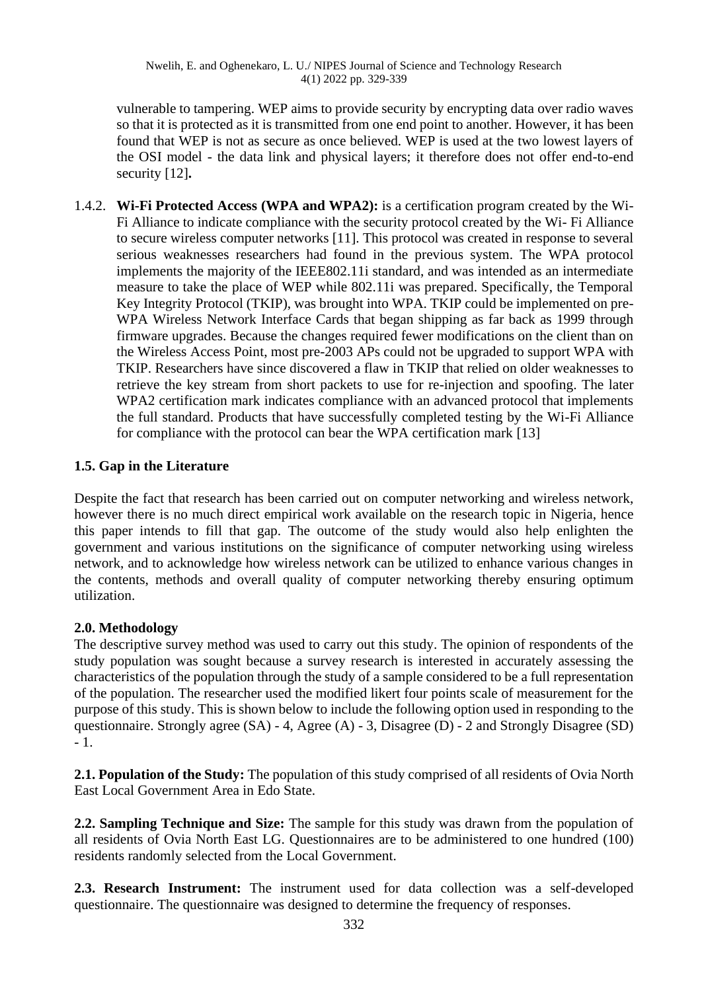vulnerable to tampering. WEP aims to provide security by encrypting data over radio waves so that it is protected as it is transmitted from one end point to another. However, it has been found that WEP is not as secure as once believed. WEP is used at the two lowest layers of the OSI model - the data link and physical layers; it therefore does not offer end-to-end security [12]**.**

1.4.2. **Wi-Fi Protected Access (WPA and WPA2):** is a certification program created by the Wi-Fi Alliance to indicate compliance with the security protocol created by the Wi- Fi Alliance to secure wireless computer networks [11]. This protocol was created in response to several serious weaknesses researchers had found in the previous system. The WPA protocol implements the majority of the IEEE802.11i standard, and was intended as an intermediate measure to take the place of WEP while 802.11i was prepared. Specifically, the Temporal Key Integrity Protocol (TKIP), was brought into WPA. TKIP could be implemented on pre-WPA Wireless Network Interface Cards that began shipping as far back as 1999 through firmware upgrades. Because the changes required fewer modifications on the client than on the Wireless Access Point, most pre-2003 APs could not be upgraded to support WPA with TKIP. Researchers have since discovered a flaw in TKIP that relied on older weaknesses to retrieve the key stream from short packets to use for re-injection and spoofing. The later WPA2 certification mark indicates compliance with an advanced protocol that implements the full standard. Products that have successfully completed testing by the Wi-Fi Alliance for compliance with the protocol can bear the WPA certification mark [13]

## **1.5. Gap in the Literature**

Despite the fact that research has been carried out on computer networking and wireless network, however there is no much direct empirical work available on the research topic in Nigeria, hence this paper intends to fill that gap. The outcome of the study would also help enlighten the government and various institutions on the significance of computer networking using wireless network, and to acknowledge how wireless network can be utilized to enhance various changes in the contents, methods and overall quality of computer networking thereby ensuring optimum utilization.

## **2.0. Methodology**

The descriptive survey method was used to carry out this study. The opinion of respondents of the study population was sought because a survey research is interested in accurately assessing the characteristics of the population through the study of a sample considered to be a full representation of the population. The researcher used the modified likert four points scale of measurement for the purpose of this study. This is shown below to include the following option used in responding to the questionnaire. Strongly agree (SA) - 4, Agree (A) - 3, Disagree (D) - 2 and Strongly Disagree (SD) - 1.

**2.1. Population of the Study:** The population of this study comprised of all residents of Ovia North East Local Government Area in Edo State.

**2.2. Sampling Technique and Size:** The sample for this study was drawn from the population of all residents of Ovia North East LG. Questionnaires are to be administered to one hundred (100) residents randomly selected from the Local Government.

**2.3. Research Instrument:** The instrument used for data collection was a self-developed questionnaire. The questionnaire was designed to determine the frequency of responses.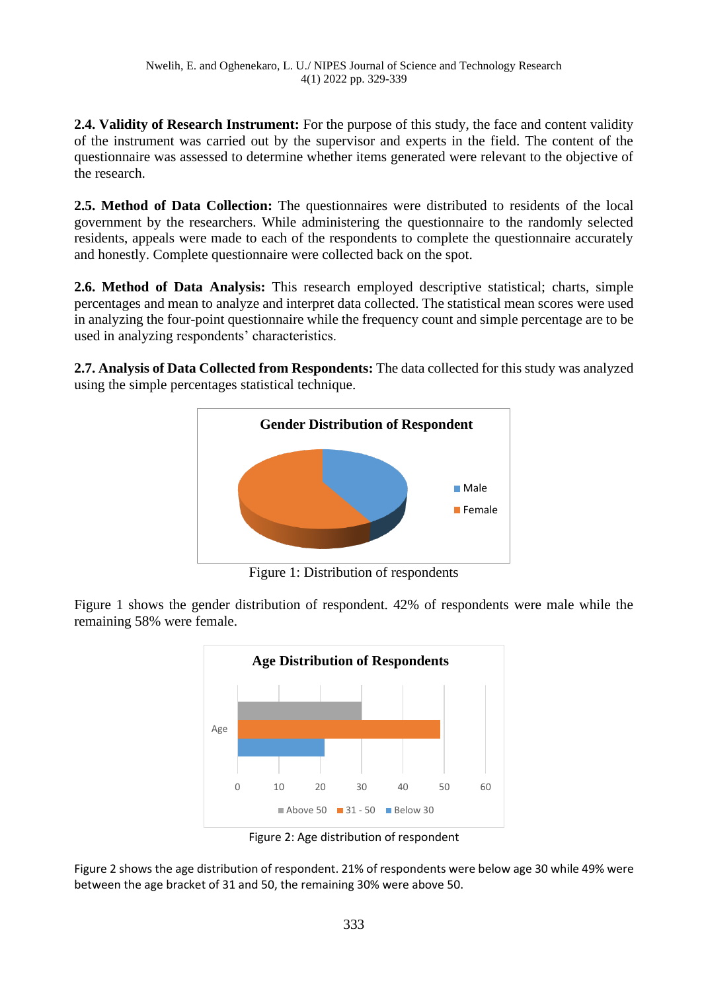**2.4. Validity of Research Instrument:** For the purpose of this study, the face and content validity of the instrument was carried out by the supervisor and experts in the field. The content of the questionnaire was assessed to determine whether items generated were relevant to the objective of the research.

**2.5. Method of Data Collection:** The questionnaires were distributed to residents of the local government by the researchers. While administering the questionnaire to the randomly selected residents, appeals were made to each of the respondents to complete the questionnaire accurately and honestly. Complete questionnaire were collected back on the spot.

**2.6. Method of Data Analysis:** This research employed descriptive statistical; charts, simple percentages and mean to analyze and interpret data collected. The statistical mean scores were used in analyzing the four-point questionnaire while the frequency count and simple percentage are to be used in analyzing respondents' characteristics.

**2.7. Analysis of Data Collected from Respondents:** The data collected for this study was analyzed using the simple percentages statistical technique.



Figure 1: Distribution of respondents

Figure 1 shows the gender distribution of respondent. 42% of respondents were male while the remaining 58% were female.



Figure 2: Age distribution of respondent

Figure 2 shows the age distribution of respondent. 21% of respondents were below age 30 while 49% were between the age bracket of 31 and 50, the remaining 30% were above 50.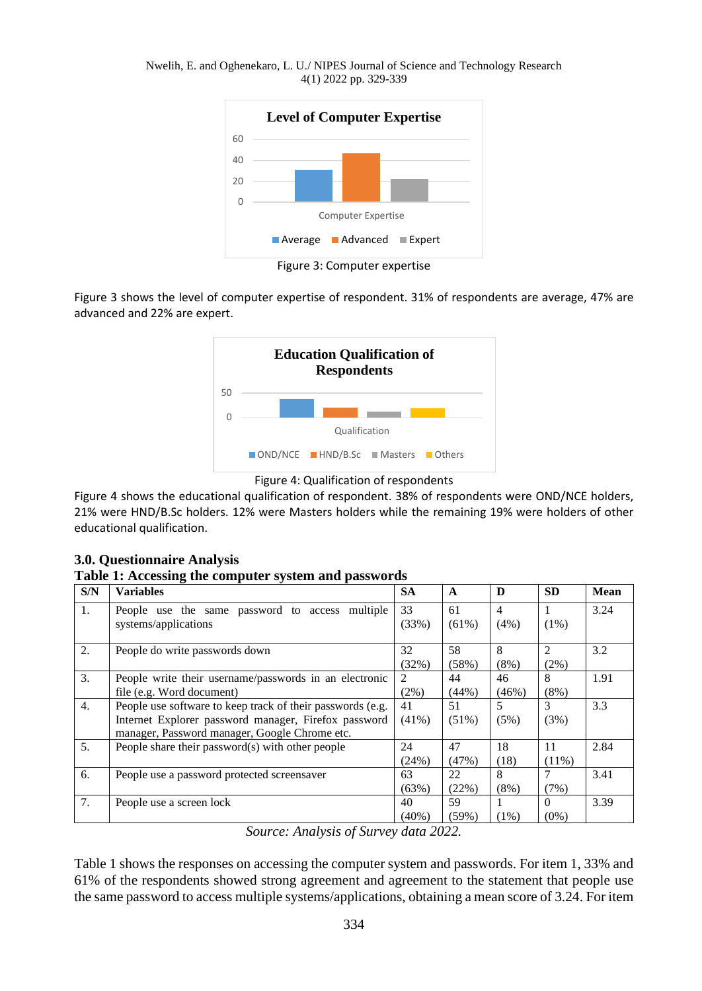Nwelih, E. and Oghenekaro, L. U./ NIPES Journal of Science and Technology Research 4(1) 2022 pp. 329-339



Figure 3: Computer expertise

Figure 3 shows the level of computer expertise of respondent. 31% of respondents are average, 47% are advanced and 22% are expert.





Figure 4 shows the educational qualification of respondent. 38% of respondents were OND/NCE holders, 21% were HND/B.Sc holders. 12% were Masters holders while the remaining 19% were holders of other educational qualification.

| 3.0. Questionnaire Analysis |  |
|-----------------------------|--|
|-----------------------------|--|

**Table 1: Accessing the computer system and passwords**

| S/N | <b>Variables</b>                                                                                                                                                    | <b>SA</b>      | $\mathbf{A}$                        | D                         | <b>SD</b>           | <b>Mean</b> |
|-----|---------------------------------------------------------------------------------------------------------------------------------------------------------------------|----------------|-------------------------------------|---------------------------|---------------------|-------------|
| 1.  | People use the same password to access<br>multiple<br>systems/applications                                                                                          | 33<br>(33%)    | 61<br>(61%)                         | $\overline{4}$<br>$(4\%)$ | (1%)                | 3.24        |
| 2.  | People do write passwords down                                                                                                                                      | 32<br>(32%)    | 58<br>(58%)                         | 8<br>$(8\%)$              | 2<br>(2%)           | 3.2         |
| 3.  | People write their username/passwords in an electronic<br>file (e.g. Word document)                                                                                 | 2<br>$(2\%)$   | 44<br>(44%)                         | 46<br>(46%)               | 8<br>$(8\%)$        | 1.91        |
| 4.  | People use software to keep track of their passwords (e.g.<br>Internet Explorer password manager, Firefox password<br>manager, Password manager, Google Chrome etc. | 41<br>$(41\%)$ | 51<br>$(51\%)$                      | 5<br>(5%)                 | 3<br>(3%)           | 3.3         |
| 5.  | People share their password(s) with other people                                                                                                                    | 24<br>(24%)    | 47<br>(47%)                         | 18<br>(18)                | 11<br>$(11\%)$      | 2.84        |
| 6.  | People use a password protected screensaver                                                                                                                         | 63<br>(63%)    | 22<br>(22%)                         | 8<br>$(8\%)$              | 7<br>(7%)           | 3.41        |
| 7.  | People use a screen lock                                                                                                                                            | 40<br>$(40\%)$ | 59<br>(59%)<br>$\sim$ $\sim$ $\sim$ | (1%)                      | $\Omega$<br>$(0\%)$ | 3.39        |

*Source: Analysis of Survey data 2022.*

Table 1 shows the responses on accessing the computer system and passwords. For item 1, 33% and 61% of the respondents showed strong agreement and agreement to the statement that people use the same password to access multiple systems/applications, obtaining a mean score of 3.24. For item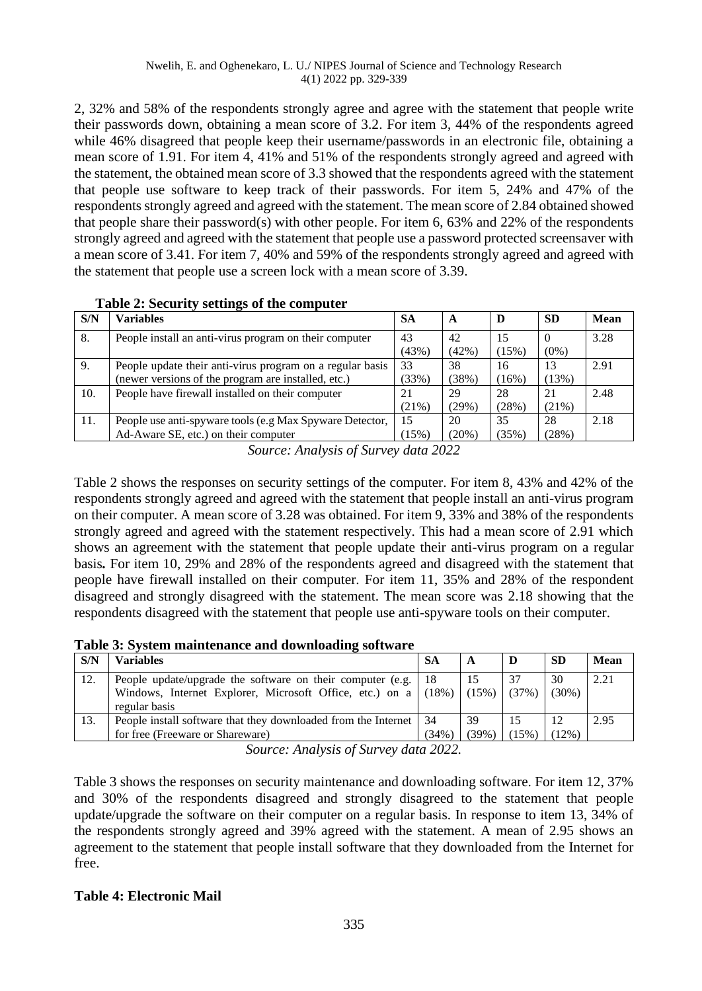2, 32% and 58% of the respondents strongly agree and agree with the statement that people write their passwords down, obtaining a mean score of 3.2. For item 3, 44% of the respondents agreed while 46% disagreed that people keep their username/passwords in an electronic file, obtaining a mean score of 1.91. For item 4, 41% and 51% of the respondents strongly agreed and agreed with the statement, the obtained mean score of 3.3 showed that the respondents agreed with the statement that people use software to keep track of their passwords. For item 5, 24% and 47% of the respondents strongly agreed and agreed with the statement. The mean score of 2.84 obtained showed that people share their password(s) with other people. For item 6, 63% and 22% of the respondents strongly agreed and agreed with the statement that people use a password protected screensaver with a mean score of 3.41. For item 7, 40% and 59% of the respondents strongly agreed and agreed with the statement that people use a screen lock with a mean score of 3.39.

| S/N | <b>Variables</b>                                          | <b>SA</b> | A        | D     | <b>SD</b> | <b>Mean</b> |
|-----|-----------------------------------------------------------|-----------|----------|-------|-----------|-------------|
| 8.  | People install an anti-virus program on their computer    | 43        | 42       | 15    |           | 3.28        |
|     |                                                           | (43%)     | (42%)    | (15%) | $(0\%)$   |             |
| 9.  | People update their anti-virus program on a regular basis | 33        | 38       | 16    | 13        | 2.91        |
|     | (newer versions of the program are installed, etc.)       | (33%)     | (38%)    | (16%) | (13%)     |             |
| 10. | People have firewall installed on their computer          | 21        | 29       | 28    | 21        | 2.48        |
|     |                                                           | $(21\%)$  | (29%)    | (28%) | (21%)     |             |
| 11. | People use anti-spyware tools (e.g Max Spyware Detector,  | 15        | 20       | 35    | 28        | 2.18        |
|     | Ad-Aware SE, etc.) on their computer                      | (15%)     | $(20\%)$ | (35%) | (28%)     |             |

### **Table 2: Security settings of the computer**

*Source: Analysis of Survey data 2022*

Table 2 shows the responses on security settings of the computer. For item 8, 43% and 42% of the respondents strongly agreed and agreed with the statement that people install an anti-virus program on their computer. A mean score of 3.28 was obtained. For item 9, 33% and 38% of the respondents strongly agreed and agreed with the statement respectively. This had a mean score of 2.91 which shows an agreement with the statement that people update their anti-virus program on a regular basis*.* For item 10, 29% and 28% of the respondents agreed and disagreed with the statement that people have firewall installed on their computer. For item 11, 35% and 28% of the respondent disagreed and strongly disagreed with the statement. The mean score was 2.18 showing that the respondents disagreed with the statement that people use anti-spyware tools on their computer.

**Table 3: System maintenance and downloading software**

| S/N | <b>Variables</b>                                                                                                                        | SА          |                   |             | -SD            | <b>Mean</b> |
|-----|-----------------------------------------------------------------------------------------------------------------------------------------|-------------|-------------------|-------------|----------------|-------------|
| 12. | People update/upgrade the software on their computer (e.g.<br>Windows, Internet Explorer, Microsoft Office, etc.) on a<br>regular basis | 18          | $(18\%)$ $(15\%)$ | 37<br>(37%) | 30<br>$(30\%)$ | 2.21        |
| 13. | People install software that they downloaded from the Internet<br>for free (Freeware or Shareware)                                      | 34<br>(34%) | 39<br>$(39\%)$    | (15%)       | $(12\%)$       | 2.95        |

*Source: Analysis of Survey data 2022.*

Table 3 shows the responses on security maintenance and downloading software. For item 12, 37% and 30% of the respondents disagreed and strongly disagreed to the statement that people update/upgrade the software on their computer on a regular basis. In response to item 13, 34% of the respondents strongly agreed and 39% agreed with the statement. A mean of 2.95 shows an agreement to the statement that people install software that they downloaded from the Internet for free.

## **Table 4: Electronic Mail**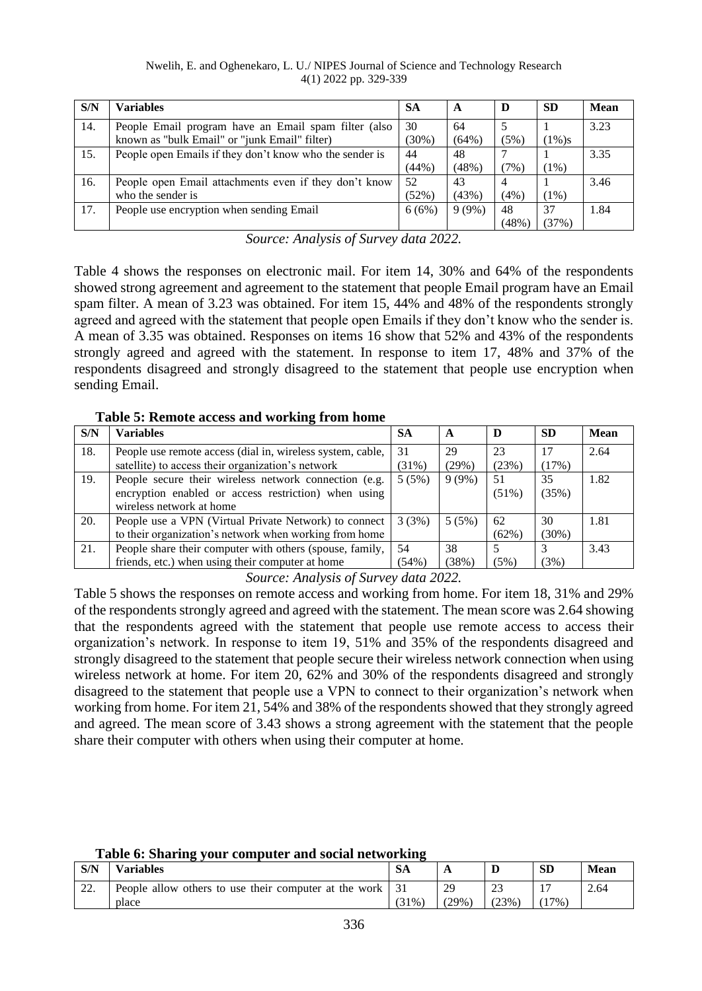#### Nwelih, E. and Oghenekaro, L. U./ NIPES Journal of Science and Technology Research 4(1) 2022 pp. 329-339

| S/N | <b>Variables</b>                                                                                      | <b>SA</b>      | A              | D                       | <b>SD</b>   | Mean |
|-----|-------------------------------------------------------------------------------------------------------|----------------|----------------|-------------------------|-------------|------|
| 14. | People Email program have an Email spam filter (also<br>known as "bulk Email" or "junk Email" filter) | 30<br>$(30\%)$ | 64<br>$(64\%)$ | (5%)                    | $(1\%)s$    | 3.23 |
| 15. | People open Emails if they don't know who the sender is                                               | 44<br>(44%)    | 48<br>(48%)    | (7%)                    | $(1\%)$     | 3.35 |
| 16. | People open Email attachments even if they don't know<br>who the sender is                            | 52<br>(52%)    | 43<br>(43%)    | $\overline{4}$<br>(4% ) | $(1\%)$     | 3.46 |
| 17. | People use encryption when sending Email                                                              | 6(6%)          | $9(9\%)$       | 48<br>$(48\%)$          | 37<br>(37%) | 1.84 |

*Source: Analysis of Survey data 2022.*

Table 4 shows the responses on electronic mail. For item 14, 30% and 64% of the respondents showed strong agreement and agreement to the statement that people Email program have an Email spam filter. A mean of 3.23 was obtained. For item 15, 44% and 48% of the respondents strongly agreed and agreed with the statement that people open Emails if they don't know who the sender is. A mean of 3.35 was obtained. Responses on items 16 show that 52% and 43% of the respondents strongly agreed and agreed with the statement. In response to item 17, 48% and 37% of the respondents disagreed and strongly disagreed to the statement that people use encryption when sending Email.

**Table 5: Remote access and working from home**

| <b>Variables</b>                                           | <b>SA</b>                                         | A        | D        | <b>SD</b> | <b>Mean</b> |
|------------------------------------------------------------|---------------------------------------------------|----------|----------|-----------|-------------|
| People use remote access (dial in, wireless system, cable, | 31                                                | 29       | 23       |           | 2.64        |
|                                                            |                                                   |          |          |           |             |
| People secure their wireless network connection (e.g.      | 5(5%)                                             | $9(9\%)$ | 51       | 35        | 1.82        |
| encryption enabled or access restriction) when using       |                                                   |          | $(51\%)$ | (35%)     |             |
| wireless network at home                                   |                                                   |          |          |           |             |
| People use a VPN (Virtual Private Network) to connect      | 3(3%)                                             | 5(5%)    | 62       | 30        | 1.81        |
| to their organization's network when working from home     |                                                   |          | $(62\%)$ | $(30\%)$  |             |
| People share their computer with others (spouse, family,   | 54                                                | 38       |          |           | 3.43        |
| friends, etc.) when using their computer at home           | (54%)                                             | (38%)    | (5%)     | (3%)      |             |
|                                                            | satellite) to access their organization's network | $(31\%)$ | (29%)    | (23%)     | (17%)       |

*Source: Analysis of Survey data 2022.*

Table 5 shows the responses on remote access and working from home. For item 18, 31% and 29% of the respondents strongly agreed and agreed with the statement. The mean score was 2.64 showing that the respondents agreed with the statement that people use remote access to access their organization's network. In response to item 19, 51% and 35% of the respondents disagreed and strongly disagreed to the statement that people secure their wireless network connection when using wireless network at home. For item 20, 62% and 30% of the respondents disagreed and strongly disagreed to the statement that people use a VPN to connect to their organization's network when working from home. For item 21, 54% and 38% of the respondents showed that they strongly agreed and agreed. The mean score of 3.43 shows a strong agreement with the statement that the people share their computer with others when using their computer at home.

**Table 6: Sharing your computer and social networking**

| S/N           | –<br><b>Variables</b>                                 | <b>SA</b> | A        | D            | <b>SD</b> | <b>Mean</b> |
|---------------|-------------------------------------------------------|-----------|----------|--------------|-----------|-------------|
| $\cap$<br>44. | People allow others to use their computer at the work |           | 29       | $\cap$<br>23 |           | 2.64        |
|               | place                                                 | $(31\%)$  | $(29\%)$ | (23%)        | $17\%$    |             |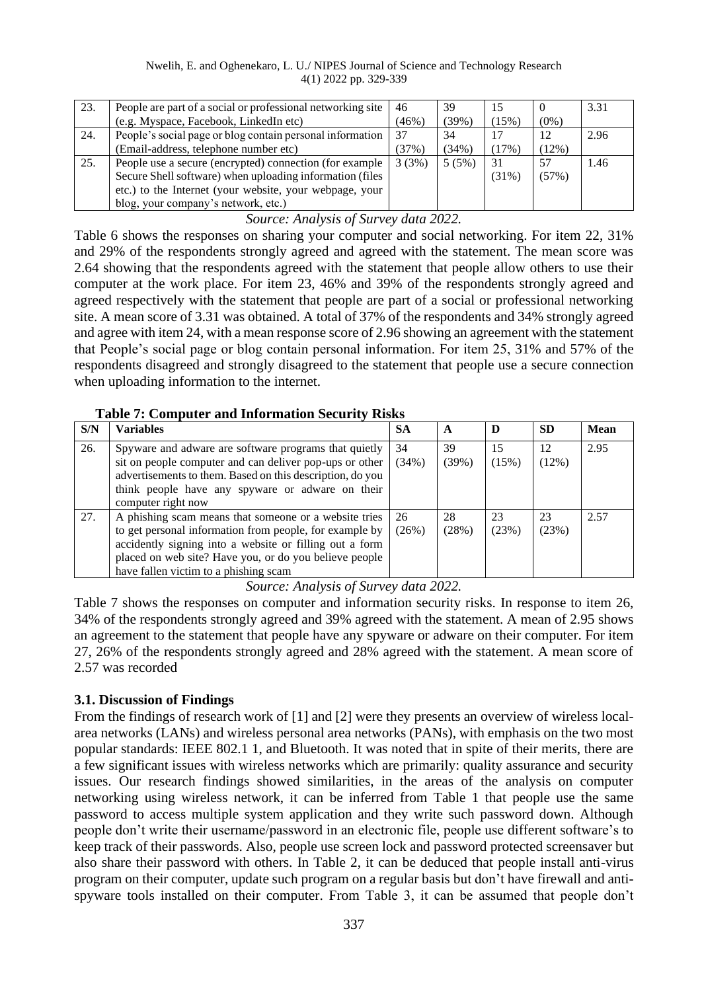#### Nwelih, E. and Oghenekaro, L. U./ NIPES Journal of Science and Technology Research 4(1) 2022 pp. 329-339

| 23. | People are part of a social or professional networking site | 46    | 39    | 15    |         | 3.31 |
|-----|-------------------------------------------------------------|-------|-------|-------|---------|------|
|     | (e.g. Myspace, Facebook, LinkedIn etc)                      | (46%) | (39%) | (15%) | $(0\%)$ |      |
| 24. | People's social page or blog contain personal information   | 37    | 34    | 17    | 12      | 2.96 |
|     | (Email-address, telephone number etc)                       | (37%) | (34%) | (17%) | (12%)   |      |
| 25. | People use a secure (encrypted) connection (for example     | 3(3%) | 5(5%) | 31    | 57      | 1.46 |
|     | Secure Shell software) when uploading information (files    |       |       | (31%) | (57%)   |      |
|     | etc.) to the Internet (your website, your webpage, your     |       |       |       |         |      |
|     | blog, your company's network, etc.)                         |       |       |       |         |      |

*Source: Analysis of Survey data 2022.*

Table 6 shows the responses on sharing your computer and social networking. For item 22, 31% and 29% of the respondents strongly agreed and agreed with the statement. The mean score was 2.64 showing that the respondents agreed with the statement that people allow others to use their computer at the work place. For item 23, 46% and 39% of the respondents strongly agreed and agreed respectively with the statement that people are part of a social or professional networking site. A mean score of 3.31 was obtained. A total of 37% of the respondents and 34% strongly agreed and agree with item 24, with a mean response score of 2.96 showing an agreement with the statement that People's social page or blog contain personal information. For item 25, 31% and 57% of the respondents disagreed and strongly disagreed to the statement that people use a secure connection when uploading information to the internet.

#### **Table 7: Computer and Information Security Risks**

| S/N | <b>Variables</b>                                                                                                                                                                                                                                                               | <b>SA</b>   | A           | D           | <b>SD</b>   | <b>Mean</b> |
|-----|--------------------------------------------------------------------------------------------------------------------------------------------------------------------------------------------------------------------------------------------------------------------------------|-------------|-------------|-------------|-------------|-------------|
| 26. | Spyware and adware are software programs that quietly<br>sit on people computer and can deliver pop-ups or other<br>advertisements to them. Based on this description, do you<br>think people have any spyware or adware on their<br>computer right now                        | 34<br>(34%) | 39<br>(39%) | 15<br>(15%) | 12<br>(12%) | 2.95        |
| 27. | A phishing scam means that someone or a website tries<br>to get personal information from people, for example by<br>accidently signing into a website or filling out a form<br>placed on web site? Have you, or do you believe people<br>have fallen victim to a phishing scam | 26<br>(26%) | 28<br>(28%) | 23<br>(23%) | 23<br>(23%) | 2.57        |

*Source: Analysis of Survey data 2022.*

Table 7 shows the responses on computer and information security risks. In response to item 26, 34% of the respondents strongly agreed and 39% agreed with the statement. A mean of 2.95 shows an agreement to the statement that people have any spyware or adware on their computer. For item 27, 26% of the respondents strongly agreed and 28% agreed with the statement. A mean score of 2.57 was recorded

## **3.1. Discussion of Findings**

From the findings of research work of [1] and [2] were they presents an overview of wireless localarea networks (LANs) and wireless personal area networks (PANs), with emphasis on the two most popular standards: IEEE 802.1 1, and Bluetooth. It was noted that in spite of their merits, there are a few significant issues with wireless networks which are primarily: quality assurance and security issues. Our research findings showed similarities, in the areas of the analysis on computer networking using wireless network, it can be inferred from Table 1 that people use the same password to access multiple system application and they write such password down. Although people don't write their username/password in an electronic file, people use different software's to keep track of their passwords. Also, people use screen lock and password protected screensaver but also share their password with others. In Table 2, it can be deduced that people install anti-virus program on their computer, update such program on a regular basis but don't have firewall and antispyware tools installed on their computer. From Table 3, it can be assumed that people don't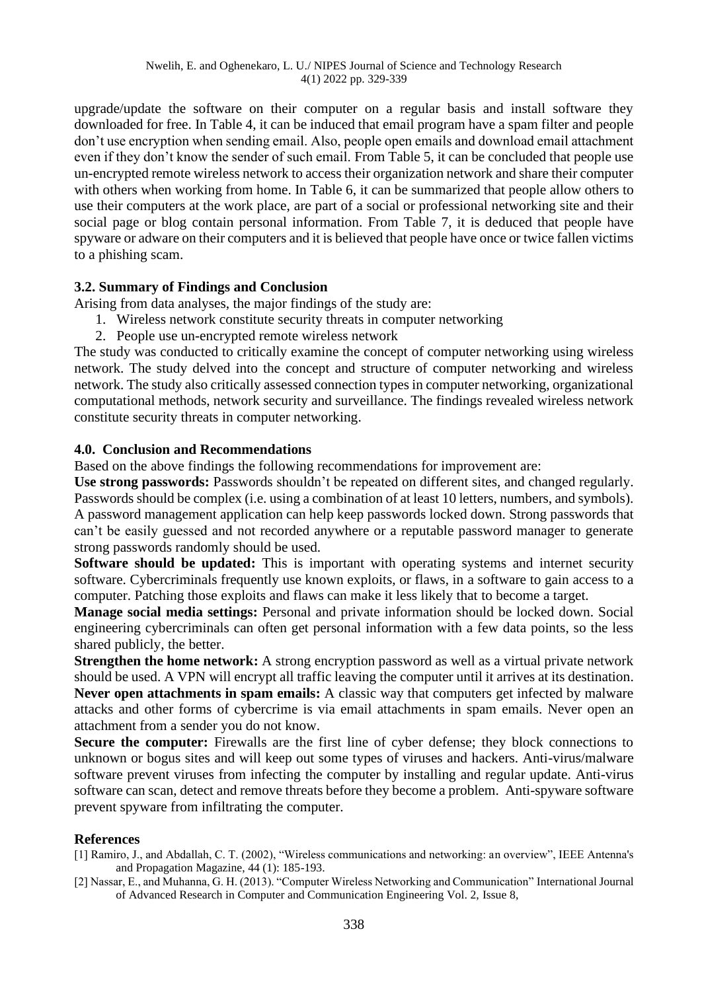upgrade/update the software on their computer on a regular basis and install software they downloaded for free. In Table 4, it can be induced that email program have a spam filter and people don't use encryption when sending email. Also, people open emails and download email attachment even if they don't know the sender of such email. From Table 5, it can be concluded that people use un-encrypted remote wireless network to access their organization network and share their computer with others when working from home. In Table 6, it can be summarized that people allow others to use their computers at the work place, are part of a social or professional networking site and their social page or blog contain personal information. From Table 7, it is deduced that people have spyware or adware on their computers and it is believed that people have once or twice fallen victims to a phishing scam.

#### **3.2. Summary of Findings and Conclusion**

Arising from data analyses, the major findings of the study are:

- 1. Wireless network constitute security threats in computer networking
- 2. People use un-encrypted remote wireless network

The study was conducted to critically examine the concept of computer networking using wireless network. The study delved into the concept and structure of computer networking and wireless network. The study also critically assessed connection types in computer networking, organizational computational methods, network security and surveillance. The findings revealed wireless network constitute security threats in computer networking.

#### **4.0. Conclusion and Recommendations**

Based on the above findings the following recommendations for improvement are:

Use strong passwords: Passwords shouldn't be repeated on different sites, and changed regularly. Passwords should be complex (i.e. using a combination of at least 10 letters, numbers, and symbols). A password management application can help keep passwords locked down. Strong passwords that can't be easily guessed and not recorded anywhere or a reputable password manager to generate strong passwords randomly should be used.

**Software should be updated:** This is important with operating systems and internet security software. Cybercriminals frequently use known exploits, or flaws, in a software to gain access to a computer. Patching those exploits and flaws can make it less likely that to become a target.

**Manage social media settings:** Personal and private information should be locked down. Social engineering cybercriminals can often get personal information with a few data points, so the less shared publicly, the better.

**Strengthen the home network:** A strong encryption password as well as a virtual private network should be used. A VPN will encrypt all traffic leaving the computer until it arrives at its destination. **Never open attachments in spam emails:** A classic way that computers get infected by malware attacks and other forms of cybercrime is via email attachments in spam emails. Never open an attachment from a sender you do not know.

**Secure the computer:** Firewalls are the first line of cyber defense; they block connections to unknown or bogus sites and will keep out some types of viruses and hackers. Anti-virus/malware software prevent viruses from infecting the computer by installing and regular update. Anti-virus software can scan, detect and remove threats before they become a problem. Anti-spyware software prevent spyware from infiltrating the computer.

#### **References**

- [1] Ramiro, J., and Abdallah, C. T. (2002), "Wireless communications and networking: an overview", IEEE Antenna's and Propagation Magazine, 44 (1): 185-193.
- [2] Nassar, E., and Muhanna, G. H. (2013). "Computer Wireless Networking and Communication" International Journal of Advanced Research in Computer and Communication Engineering Vol. 2, Issue 8,